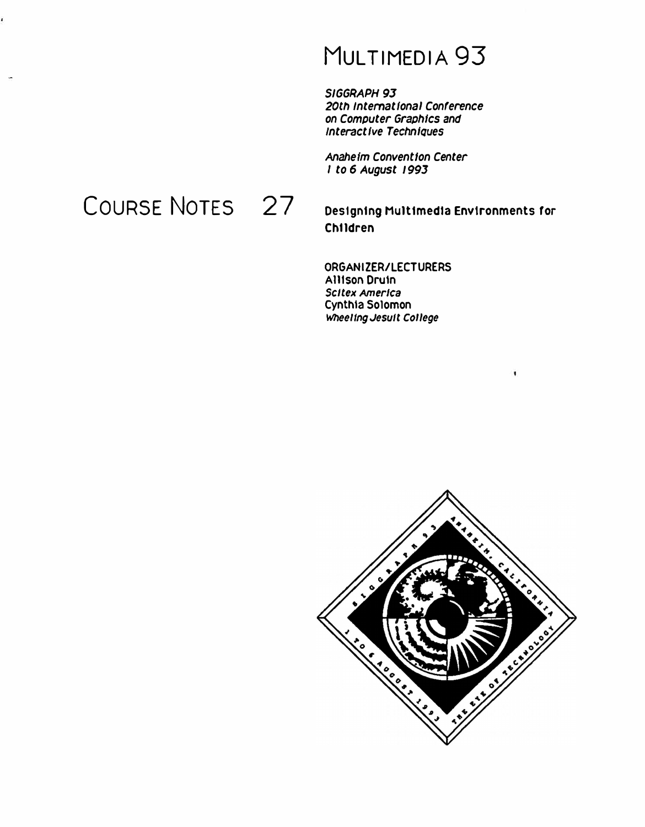# MULTIMEDIA 93

SIGGRAPH 93 20th International Conference on Computer Graphics and Interactive Techniques

Anaheim Convention Center 1 to 6 August 1993

# COURSE NOTES 27

#### Designing Multimedia Environments for **Children**

ï

ORGANIZER/LECTURERS **Allison Druin Scitex America** Cynthia Solomon Wheeling Jesuit College

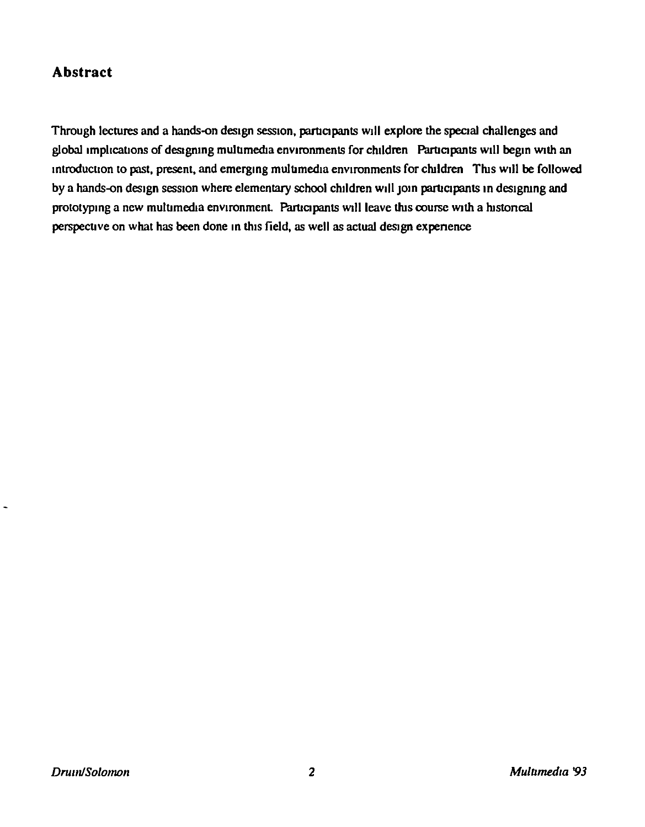## **Abstract**

Through lectures and a hands-on design session, participants will explore the special challenges and global implications of designing multimedia environments for children Participants will begin with an introduction to past, present, and emerging multimedia environments for children This will be followed by a hands-on design session where elementary school children will join participants in designing and prototyping a new multimedia environment. Participants will leave this course with a histoncal perspective on what has been done in this field, as well as actual design experience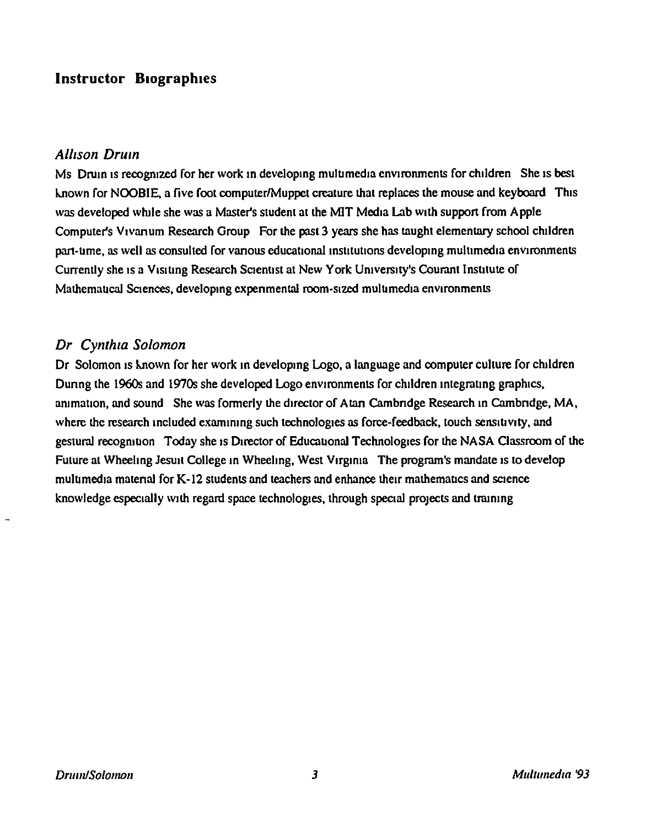## **Instructor B1ograph1es**

#### *All1son Drum*

Ms Druin is recognized for her work in developing multimedia environments for children She is best l.nown for NOOBIE. a five fool computer/Muppel creature that replaces the mouse and keyboard Th1s was developed while she was a Master's student at the MIT Media Lab with support from Apple Computer's Vivanum Research Group For the past 3 years she has taught elementary school children part-ume, as well as consulted for vanous educational institutions developing multimedia environments Currently she is a Visiting Research Scientist at New York University's Courant Institute of Mathematical Sciences, developing experimental room-sized multimedia environments

### Dr Cynthia Solomon

Dr Solomon is known for her work in developing Logo, a language and computer culture for children Dunng the 1960s and 1970s she developed Logo environments for children mtegraung graphics, animation, and sound She was formerly the director of Atan Cambridge Research in Cambridge, MA, where the research included examining such technologies as force-feedback, touch sensitivity, and gestural recogmuon Today she 1s Director of Educauonal Technologies for the NASA Classroom of the Future at Wheeling Jesuit College in Wheeling, West Virginia The program's mandate is to develop multimedia material for K-12 students and teachers and enhance their mathematics and science knowledge especially with regard space technologies, through special projects and training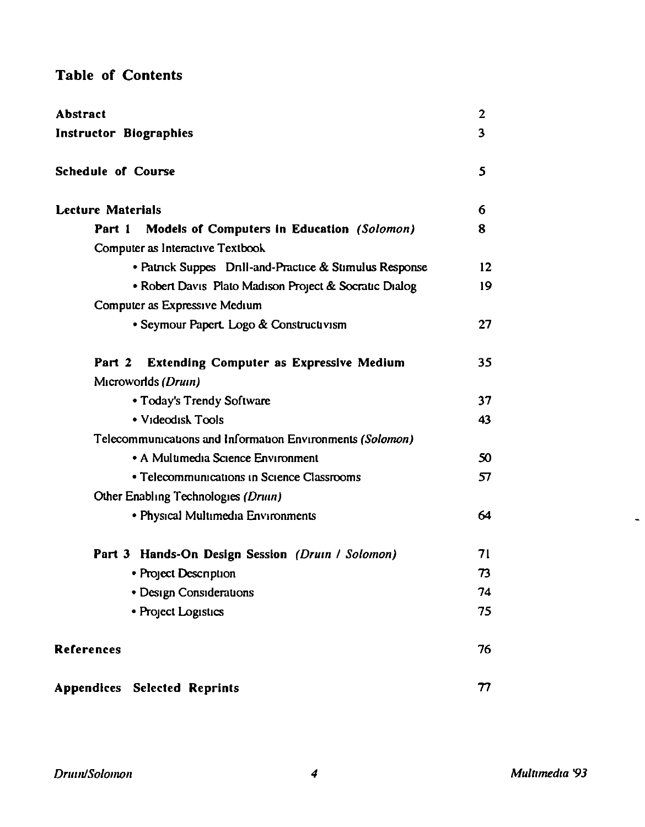## Table of Contents

| <b>Abstract</b><br><b>Instructor Biographies</b><br><b>Schedule of Course</b> |                 |                                                                                                 |   |
|-------------------------------------------------------------------------------|-----------------|-------------------------------------------------------------------------------------------------|---|
|                                                                               |                 | <b>Lecture Materials</b>                                                                        | 6 |
|                                                                               |                 | <b>Models of Computers in Education (Solomon)</b><br>Part 1<br>Computer as Interactive Textbook | 8 |
| • Patrick Suppes Drill-and-Practice & Stimulus Response                       | 12 <sup>2</sup> |                                                                                                 |   |
| • Robert Davis Plato Madison Project & Socratic Dialog                        | 19              |                                                                                                 |   |
| Computer as Expressive Medium                                                 |                 |                                                                                                 |   |
| • Seymour Papert. Logo & Constructivism                                       | 27              |                                                                                                 |   |
| <b>Extending Computer as Expressive Medium</b><br>Part 2                      | 35              |                                                                                                 |   |
| Microworlds (Druin)                                                           |                 |                                                                                                 |   |
| • Today's Trendy Software                                                     | 37              |                                                                                                 |   |
| • Videodisk Tools                                                             | 43              |                                                                                                 |   |
| Telecommunications and Information Environments (Solomon)                     |                 |                                                                                                 |   |
| • A Multimedia Science Environment                                            | 50              |                                                                                                 |   |
| • Telecommunications in Science Classrooms                                    | 57              |                                                                                                 |   |
| Other Enabling Technologies (Druin)                                           |                 |                                                                                                 |   |
| • Physical Multimedia Environments                                            | 64              |                                                                                                 |   |
| Part 3 Hands-On Design Session (Druin / Solomon)                              | 71              |                                                                                                 |   |
| • Project Description                                                         | 73              |                                                                                                 |   |
| • Design Considerations                                                       | 74              |                                                                                                 |   |
| • Project Logistics                                                           | 75              |                                                                                                 |   |
| <b>References</b>                                                             | 76              |                                                                                                 |   |
| Appendices Selected Reprints                                                  | 77              |                                                                                                 |   |